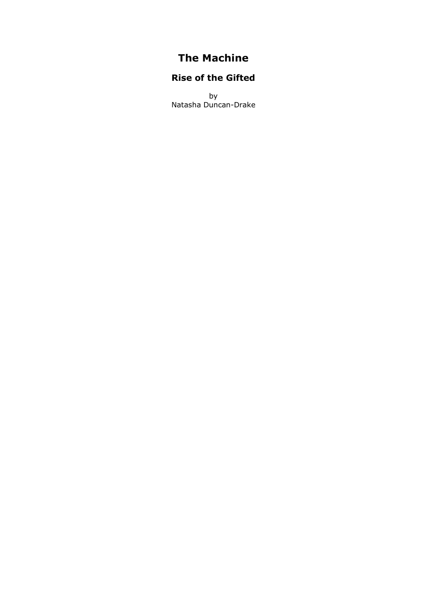# **The Machine**

## **Rise of the Gifted**

by Natasha Duncan-Drake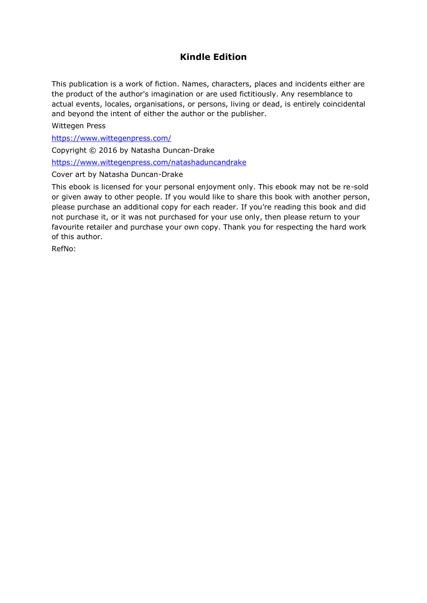### **Kindle Edition**

This publication is a work of fiction. Names, characters, places and incidents either are the product of the author's imagination or are used fictitiously. Any resemblance to actual events, locales, organisations, or persons, living or dead, is entirely coincidental and beyond the intent of either the author or the publisher.

Wittegen Press

<https://www.wittegenpress.com/>

Copyright © 2016 by Natasha Duncan-Drake

<https://www.wittegenpress.com/natashaduncandrake>

Cover art by Natasha Duncan-Drake

This ebook is licensed for your personal enjoyment only. This ebook may not be re-sold or given away to other people. If you would like to share this book with another person, please purchase an additional copy for each reader. If you're reading this book and did not purchase it, or it was not purchased for your use only, then please return to your favourite retailer and purchase your own copy. Thank you for respecting the hard work of this author.

RefNo: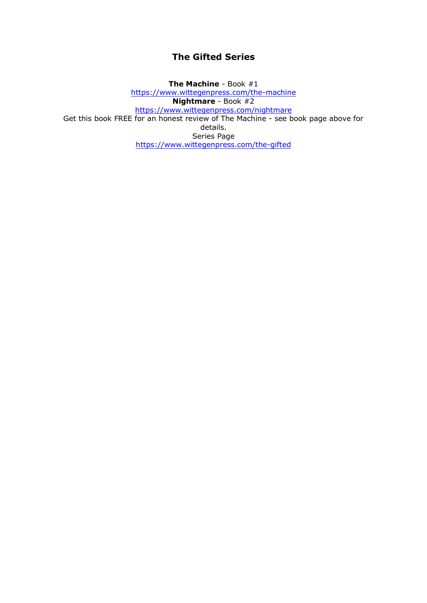#### **The Gifted Series**

**The Machine** - Book #1 <https://www.wittegenpress.com/the-machine> **Nightmare** - Book #2 <https://www.wittegenpress.com/nightmare> Get this book FREE for an honest review of The Machine - see book page above for details. Series Page <https://www.wittegenpress.com/the-gifted>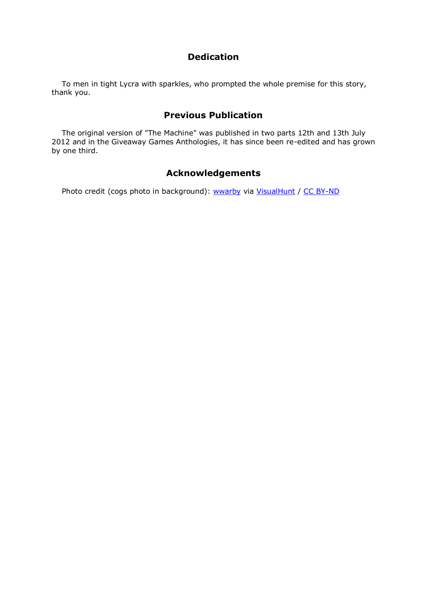#### **Dedication**

To men in tight Lycra with sparkles, who prompted the whole premise for this story, thank you.

#### **Previous Publication**

The original version of "The Machine" was published in two parts 12th and 13th July 2012 and in the Giveaway Games Anthologies, it has since been re-edited and has grown by one third.

### **Acknowledgements**

Photo credit (cogs photo in background): [wwarby](https://www.flickr.com/photos/wwarby/4782904694/) via [VisualHunt](http://visualhunt.com/) / [CC BY-ND](http://visualhunt.com/)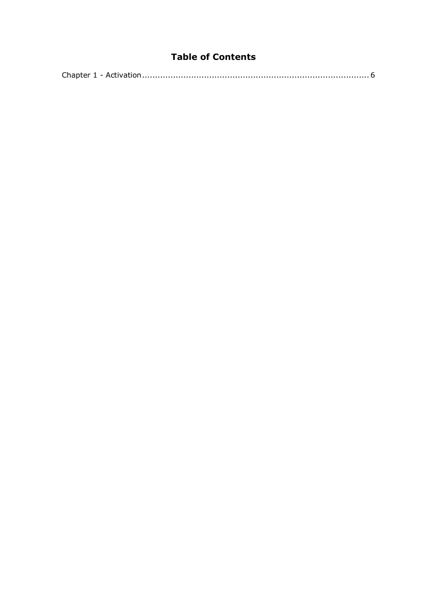## **Table of Contents**

|--|--|--|--|--|--|--|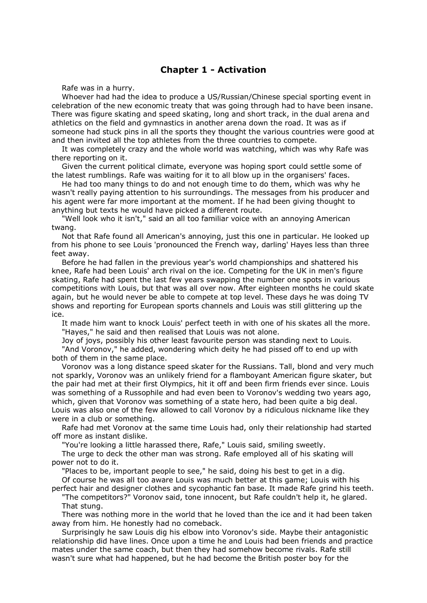#### **Chapter 1 - Activation**

<span id="page-5-0"></span>Rafe was in a hurry.

Whoever had had the idea to produce a US/Russian/Chinese special sporting event in celebration of the new economic treaty that was going through had to have been insane. There was figure skating and speed skating, long and short track, in the dual arena and athletics on the field and gymnastics in another arena down the road. It was as if someone had stuck pins in all the sports they thought the various countries were good at and then invited all the top athletes from the three countries to compete.

It was completely crazy and the whole world was watching, which was why Rafe was there reporting on it.

Given the current political climate, everyone was hoping sport could settle some of the latest rumblings. Rafe was waiting for it to all blow up in the organisers' faces.

He had too many things to do and not enough time to do them, which was why he wasn't really paying attention to his surroundings. The messages from his producer and his agent were far more important at the moment. If he had been giving thought to anything but texts he would have picked a different route.

"Well look who it isn't," said an all too familiar voice with an annoying American twang.

Not that Rafe found all American's annoying, just this one in particular. He looked up from his phone to see Louis 'pronounced the French way, darling' Hayes less than three feet away.

Before he had fallen in the previous year's world championships and shattered his knee, Rafe had been Louis' arch rival on the ice. Competing for the UK in men's figure skating, Rafe had spent the last few years swapping the number one spots in various competitions with Louis, but that was all over now. After eighteen months he could skate again, but he would never be able to compete at top level. These days he was doing TV shows and reporting for European sports channels and Louis was still glittering up the ice.

It made him want to knock Louis' perfect teeth in with one of his skates all the more. "Hayes," he said and then realised that Louis was not alone.

Joy of joys, possibly his other least favourite person was standing next to Louis. "And Voronov," he added, wondering which deity he had pissed off to end up with both of them in the same place.

Voronov was a long distance speed skater for the Russians. Tall, blond and very much not sparkly, Voronov was an unlikely friend for a flamboyant American figure skater, but the pair had met at their first Olympics, hit it off and been firm friends ever since. Louis was something of a Russophile and had even been to Voronov's wedding two years ago, which, given that Voronov was something of a state hero, had been quite a big deal. Louis was also one of the few allowed to call Voronov by a ridiculous nickname like they were in a club or something.

Rafe had met Voronov at the same time Louis had, only their relationship had started off more as instant dislike.

"You're looking a little harassed there, Rafe," Louis said, smiling sweetly.

The urge to deck the other man was strong. Rafe employed all of his skating will power not to do it.

"Places to be, important people to see," he said, doing his best to get in a dig. Of course he was all too aware Louis was much better at this game; Louis with his

perfect hair and designer clothes and sycophantic fan base. It made Rafe grind his teeth. "The competitors?" Voronov said, tone innocent, but Rafe couldn't help it, he glared. That stung.

There was nothing more in the world that he loved than the ice and it had been taken away from him. He honestly had no comeback.

Surprisingly he saw Louis dig his elbow into Voronov's side. Maybe their antagonistic relationship did have lines. Once upon a time he and Louis had been friends and practice mates under the same coach, but then they had somehow become rivals. Rafe still wasn't sure what had happened, but he had become the British poster boy for the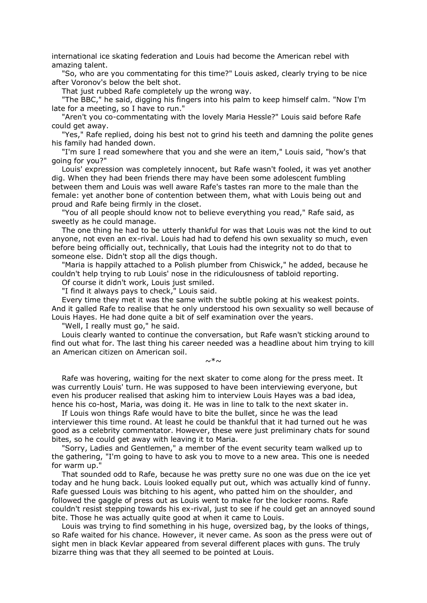international ice skating federation and Louis had become the American rebel with amazing talent.

"So, who are you commentating for this time?" Louis asked, clearly trying to be nice after Voronov's below the belt shot.

That just rubbed Rafe completely up the wrong way.

"The BBC," he said, digging his fingers into his palm to keep himself calm. "Now I'm late for a meeting, so I have to run."

"Aren't you co-commentating with the lovely Maria Hessle?" Louis said before Rafe could get away.

"Yes," Rafe replied, doing his best not to grind his teeth and damning the polite genes his family had handed down.

"I'm sure I read somewhere that you and she were an item," Louis said, "how's that going for you?"

Louis' expression was completely innocent, but Rafe wasn't fooled, it was yet another dig. When they had been friends there may have been some adolescent fumbling between them and Louis was well aware Rafe's tastes ran more to the male than the female: yet another bone of contention between them, what with Louis being out and proud and Rafe being firmly in the closet.

"You of all people should know not to believe everything you read," Rafe said, as sweetly as he could manage.

The one thing he had to be utterly thankful for was that Louis was not the kind to out anyone, not even an ex-rival. Louis had had to defend his own sexuality so much, even before being officially out, technically, that Louis had the integrity not to do that to someone else. Didn't stop all the digs though.

"Maria is happily attached to a Polish plumber from Chiswick," he added, because he couldn't help trying to rub Louis' nose in the ridiculousness of tabloid reporting.

Of course it didn't work, Louis just smiled.

"I find it always pays to check," Louis said.

Every time they met it was the same with the subtle poking at his weakest points. And it galled Rafe to realise that he only understood his own sexuality so well because of Louis Hayes. He had done quite a bit of self examination over the years.

"Well, I really must go," he said.

Louis clearly wanted to continue the conversation, but Rafe wasn't sticking around to find out what for. The last thing his career needed was a headline about him trying to kill an American citizen on American soil.

 $\sim^*$ ~

Rafe was hovering, waiting for the next skater to come along for the press meet. It was currently Louis' turn. He was supposed to have been interviewing everyone, but even his producer realised that asking him to interview Louis Hayes was a bad idea, hence his co-host, Maria, was doing it. He was in line to talk to the next skater in.

If Louis won things Rafe would have to bite the bullet, since he was the lead interviewer this time round. At least he could be thankful that it had turned out he was good as a celebrity commentator. However, these were just preliminary chats for sound bites, so he could get away with leaving it to Maria.

"Sorry, Ladies and Gentlemen," a member of the event security team walked up to the gathering, "I'm going to have to ask you to move to a new area. This one is needed for warm up."

That sounded odd to Rafe, because he was pretty sure no one was due on the ice yet today and he hung back. Louis looked equally put out, which was actually kind of funny. Rafe guessed Louis was bitching to his agent, who patted him on the shoulder, and followed the gaggle of press out as Louis went to make for the locker rooms. Rafe couldn't resist stepping towards his ex-rival, just to see if he could get an annoyed sound bite. Those he was actually quite good at when it came to Louis.

Louis was trying to find something in his huge, oversized bag, by the looks of things, so Rafe waited for his chance. However, it never came. As soon as the press were out of sight men in black Kevlar appeared from several different places with guns. The truly bizarre thing was that they all seemed to be pointed at Louis.